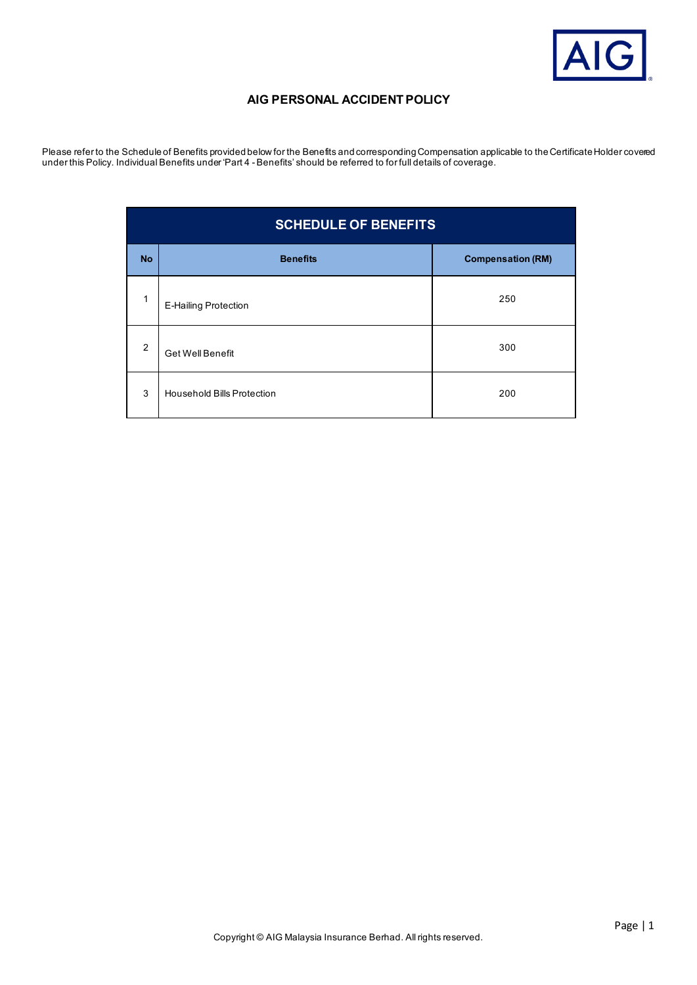

# **AIG PERSONAL ACCIDENT POLICY**

Please refer to the Schedule of Benefits provided below for the Benefits and corresponding Compensation applicable to the Certificate Holder covered under this Policy. Individual Benefits under 'Part 4 - Benefits' should be referred to for full details of coverage.

| <b>SCHEDULE OF BENEFITS</b> |                                   |                          |
|-----------------------------|-----------------------------------|--------------------------|
| <b>No</b>                   | <b>Benefits</b>                   | <b>Compensation (RM)</b> |
| 1                           | <b>E-Hailing Protection</b>       | 250                      |
| 2                           | <b>Get Well Benefit</b>           | 300                      |
| 3                           | <b>Household Bills Protection</b> | 200                      |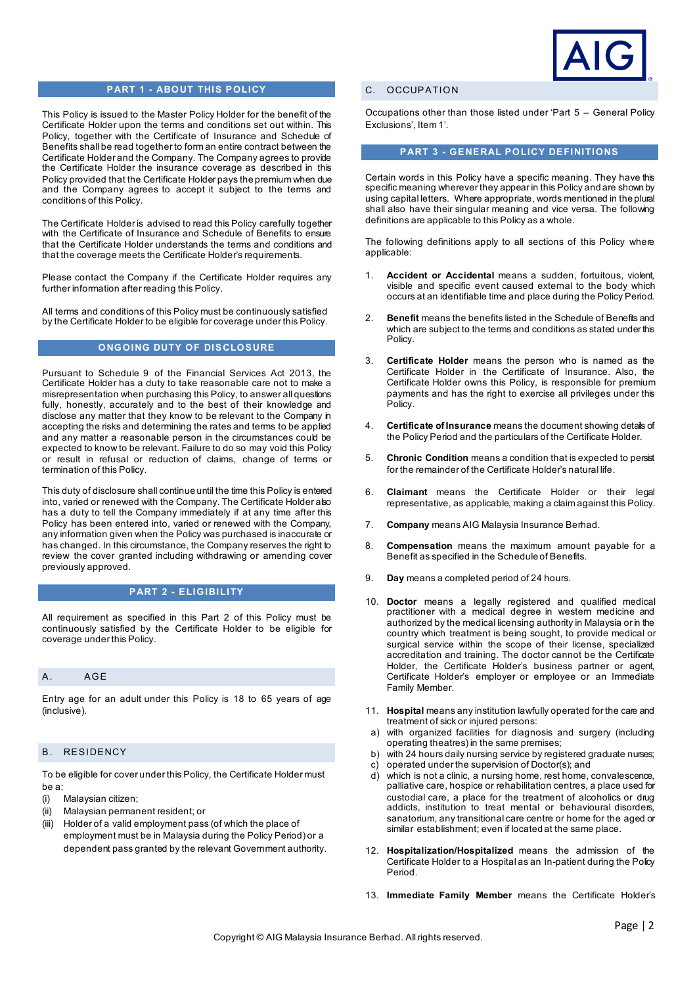

### **PART 1 - ABOUT THIS POLICY**

This Policy is issued to the Master Policy Holder for the benefit of the Certificate Holder upon the terms and conditions set out within. This Policy, together with the Certificate of Insurance and Schedule of Benefits shall be read together to form an entire contract between the Certificate Holder and the Company. The Company agrees to provide the Certificate Holder the insurance coverage as described in this Policy provided that the Certificate Holder pays the premium when due and the Company agrees to accept it subject to the terms and conditions of this Policy.

The Certificate Holder is advised to read this Policy carefully together with the Certificate of Insurance and Schedule of Benefits to ensure that the Certificate Holder understands the terms and conditions and that the coverage meets the Certificate Holder's requirements.

Please contact the Company if the Certificate Holder requires any further information after reading this Policy.

All terms and conditions of this Policy must be continuously satisfied by the Certificate Holder to be eligible for coverage under this Policy.

#### **ONGOING DUTY OF DISCLOSURE**

Pursuant to Schedule 9 of the Financial Services Act 2013, the Certificate Holder has a duty to take reasonable care not to make a misrepresentation when purchasing this Policy, to answer all questions fully, honestly, accurately and to the best of their knowledge and disclose any matter that they know to be relevant to the Company in accepting the risks and determining the rates and terms to be applied and any matter a reasonable person in the circumstances could be expected to know to be relevant. Failure to do so may void this Policy or result in refusal or reduction of claims, change of terms or termination of this Policy.

This duty of disclosure shall continue until the time this Policy is entered into, varied or renewed with the Company. The Certificate Holder also has a duty to tell the Company immediately if at any time after this Policy has been entered into, varied or renewed with the Company, any information given when the Policy was purchased is inaccurate or has changed. In this circumstance, the Company reserves the right to review the cover granted including withdrawing or amending cover previously approved.

## **PART 2 - ELIGIBILITY**

All requirement as specified in this Part 2 of this Policy must be continuously satisfied by the Certificate Holder to be eligible for coverage under this Policy.

### A. AGE

Entry age for an adult under this Policy is 18 to 65 years of age (inclusive).

## B. RESIDENCY

To be eligible for cover under this Policy, the Certificate Holder must be a:

- (i) Malaysian citizen;
- (ii) Malaysian permanent resident; or
- (iii) Holder of a valid employment pass (of which the place of employment must be in Malaysia during the Policy Period) or a dependent pass granted by the relevant Government authority.

## C. OCCUPATION

Occupations other than those listed under 'Part 5 – General Policy Exclusions', Item 1'.

### **PART 3 - GENERAL POLICY DEFINITIONS**

Certain words in this Policy have a specific meaning. They have this specific meaning wherever they appear in this Policy and are shown by using capital letters. Where appropriate, words mentioned in the plural shall also have their singular meaning and vice versa. The following definitions are applicable to this Policy as a whole.

The following definitions apply to all sections of this Policy where applicable:

- 1. **Accident or Accidental** means a sudden, fortuitous, violent, visible and specific event caused external to the body which occurs at an identifiable time and place during the Policy Period.
- 2. **Benefit** means the benefits listed in the Schedule of Benefits and which are subject to the terms and conditions as stated under this Policy.
- 3. **Certificate Holder** means the person who is named as the Certificate Holder in the Certificate of Insurance. Also, the Certificate Holder owns this Policy, is responsible for premium payments and has the right to exercise all privileges under this Policy.
- 4. **Certificate of Insurance** means the document showing details of the Policy Period and the particulars of the Certificate Holder.
- 5. **Chronic Condition** means a condition that is expected to persist for the remainder of the Certificate Holder's natural life.
- 6. **Claimant** means the Certificate Holder or their legal representative, as applicable, making a claim against this Policy.
- 7. **Company** means AIG Malaysia Insurance Berhad.
- 8. **Compensation** means the maximum amount payable for a Benefit as specified in the Schedule of Benefits.
- 9. **Day** means a completed period of 24 hours.
- 10. **Doctor** means a legally registered and qualified medical practitioner with a medical degree in western medicine and authorized by the medical licensing authority in Malaysia or in the country which treatment is being sought, to provide medical or surgical service within the scope of their license, specialized accreditation and training. The doctor cannot be the Certificate Holder, the Certificate Holder's business partner or agent, Certificate Holder's employer or employee or an Immediate Family Member.
- 11. **Hospital** means any institution lawfully operated for the care and treatment of sick or injured persons:
- a) with organized facilities for diagnosis and surgery (including operating theatres) in the same premises;
- b) with 24 hours daily nursing service by registered graduate nurses;<br>c) operated under the supervision of Doctor(s); and
- c) operated under the supervision of Doctor(s); and<br>d) which is not a clinic, a nursing home, rest home.
- which is not a clinic, a nursing home, rest home, convalescence, palliative care, hospice or rehabilitation centres, a place used for custodial care, a place for the treatment of alcoholics or drug addicts, institution to treat mental or behavioural disorders, sanatorium, any transitional care centre or home for the aged or similar establishment; even if located at the same place.
- 12. **Hospitalization/Hospitalized** means the admission of the Certificate Holder to a Hospital as an In-patient during the Policy Period.
- 13. **Immediate Family Member** means the Certificate Holder's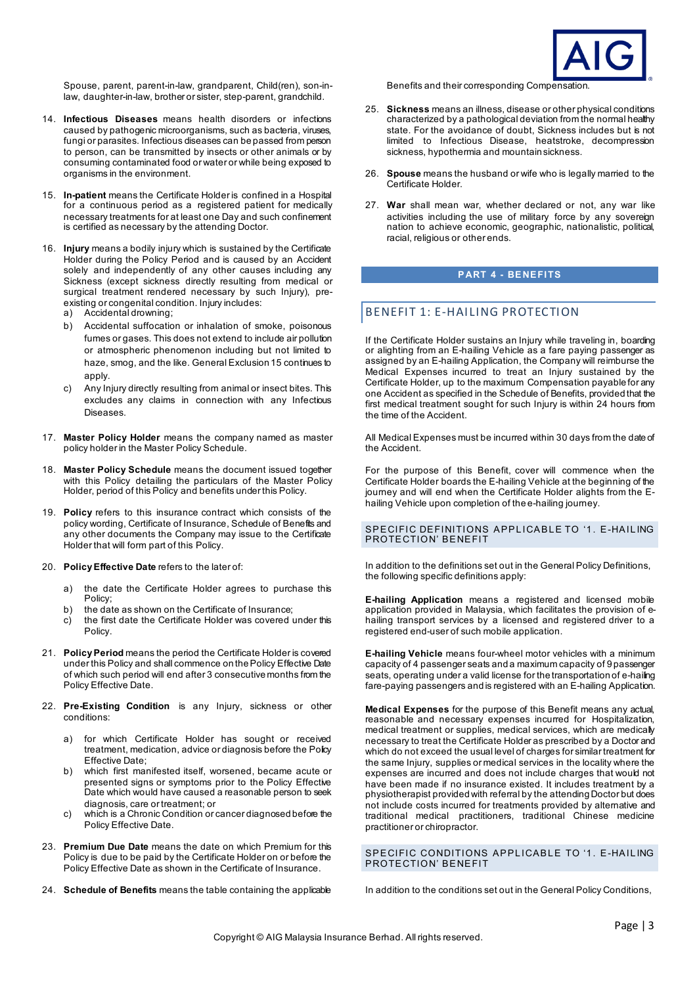

Spouse, parent, parent-in-law, grandparent, Child(ren), son-inlaw, daughter-in-law, brother or sister, step-parent, grandchild.

- 14. **Infectious Diseases** means health disorders or infections caused by pathogenic microorganisms, such as bacteria, viruses, fungi or parasites. Infectious diseases can be passed from person to person, can be transmitted by insects or other animals or by consuming contaminated food or water or while being exposed to organisms in the environment.
- 15. **In-patient** means the Certificate Holder is confined in a Hospital for a continuous period as a registered patient for medically necessary treatments for at least one Day and such confinement is certified as necessary by the attending Doctor.
- 16. **Injury** means a bodily injury which is sustained by the Certificate Holder during the Policy Period and is caused by an Accident solely and independently of any other causes including any Sickness (except sickness directly resulting from medical or surgical treatment rendered necessary by such Injury), preexisting or congenital condition. Injury includes:
	- a) Accidental drowning;
	- b) Accidental suffocation or inhalation of smoke, poisonous fumes or gases. This does not extend to include air pollution or atmospheric phenomenon including but not limited to haze, smog, and the like. General Exclusion 15 continues to apply.
	- c) Any Injury directly resulting from animal or insect bites. This excludes any claims in connection with any Infectious Diseases.
- 17. **Master Policy Holder** means the company named as master policy holder in the Master Policy Schedule.
- 18. **Master Policy Schedule** means the document issued together with this Policy detailing the particulars of the Master Policy Holder, period of this Policy and benefits under this Policy.
- 19. **Policy** refers to this insurance contract which consists of the policy wording, Certificate of Insurance, Schedule of Benefits and any other documents the Company may issue to the Certificate Holder that will form part of this Policy.
- 20. **Policy Effective Date** refers to the later of:
	- a) the date the Certificate Holder agrees to purchase this Policy;
	- b) the date as shown on the Certificate of Insurance;
	- $c$ ) the first date the Certificate Holder was covered under this Policy.
- 21. **Policy Period** means the period the Certificate Holder is covered under this Policy and shall commence on the Policy Effective Date of which such period will end after 3 consecutive months from the Policy Effective Date.
- 22. **Pre-Existing Condition** is any Injury, sickness or other conditions:
	- a) for which Certificate Holder has sought or received treatment, medication, advice or diagnosis before the Policy Effective Date;
	- which first manifested itself, worsened, became acute or presented signs or symptoms prior to the Policy Effective Date which would have caused a reasonable person to seek diagnosis, care or treatment; or
	- c) which is a Chronic Condition or cancer diagnosed before the Policy Effective Date.
- 23. **Premium Due Date** means the date on which Premium for this Policy is due to be paid by the Certificate Holder on or before the Policy Effective Date as shown in the Certificate of Insurance.
- 24. **Schedule of Benefits** means the table containing the applicable

Benefits and their corresponding Compensation.

- 25. **Sickness** means an illness, disease or other physical conditions characterized by a pathological deviation from the normal healthy state. For the avoidance of doubt, Sickness includes but is not limited to Infectious Disease, heatstroke, decompression sickness, hypothermia and mountain sickness.
- 26. **Spouse** means the husband or wife who is legally married to the Certificate Holder.
- 27. **War** shall mean war, whether declared or not, any war like activities including the use of military force by any sovereign nation to achieve economic, geographic, nationalistic, political, racial, religious or other ends.

## **PART 4 - BENEFITS**

## BENEFIT 1: E-HAILING PROTECTION

If the Certificate Holder sustains an Injury while traveling in, boarding or alighting from an E-hailing Vehicle as a fare paying passenger as assigned by an E-hailing Application, the Company will reimburse the Medical Expenses incurred to treat an Injury sustained by the Certificate Holder, up to the maximum Compensation payable for any one Accident as specified in the Schedule of Benefits, provided that the first medical treatment sought for such Injury is within 24 hours from the time of the Accident.

All Medical Expenses must be incurred within 30 days from the date of the Accident.

For the purpose of this Benefit, cover will commence when the Certificate Holder boards the E-hailing Vehicle at the beginning of the journey and will end when the Certificate Holder alights from the Ehailing Vehicle upon completion of the e-hailing journey.

#### SPECIFIC DEFINITIONS APPLICABLE TO '1. E-HAIL ING PROTECTION' BENEFIT

In addition to the definitions set out in the General Policy Definitions, the following specific definitions apply:

**E-hailing Application** means a registered and licensed mobile application provided in Malaysia, which facilitates the provision of ehailing transport services by a licensed and registered driver to a registered end-user of such mobile application.

**E-hailing Vehicle** means four-wheel motor vehicles with a minimum capacity of 4 passenger seats and a maximum capacity of 9 passenger seats, operating under a valid license for the transportation of e-hailing fare-paying passengers and is registered with an E-hailing Application.

**Medical Expenses** for the purpose of this Benefit means any actual, reasonable and necessary expenses incurred for Hospitalization, medical treatment or supplies, medical services, which are medicaly necessary to treat the Certificate Holder as prescribed by a Doctor and which do not exceed the usual level of charges for similar treatment for the same Injury, supplies or medical services in the locality where the expenses are incurred and does not include charges that would not have been made if no insurance existed. It includes treatment by a physiotherapist provided with referral by the attending Doctor but does not include costs incurred for treatments provided by alternative and traditional medical practitioners, traditional Chinese medicine practitioner or chiropractor.

SPECIFIC CONDITIONS APPLICABLE TO '1. E-HAIL ING PROTECTION' BENEFIT

In addition to the conditions set out in the General Policy Conditions,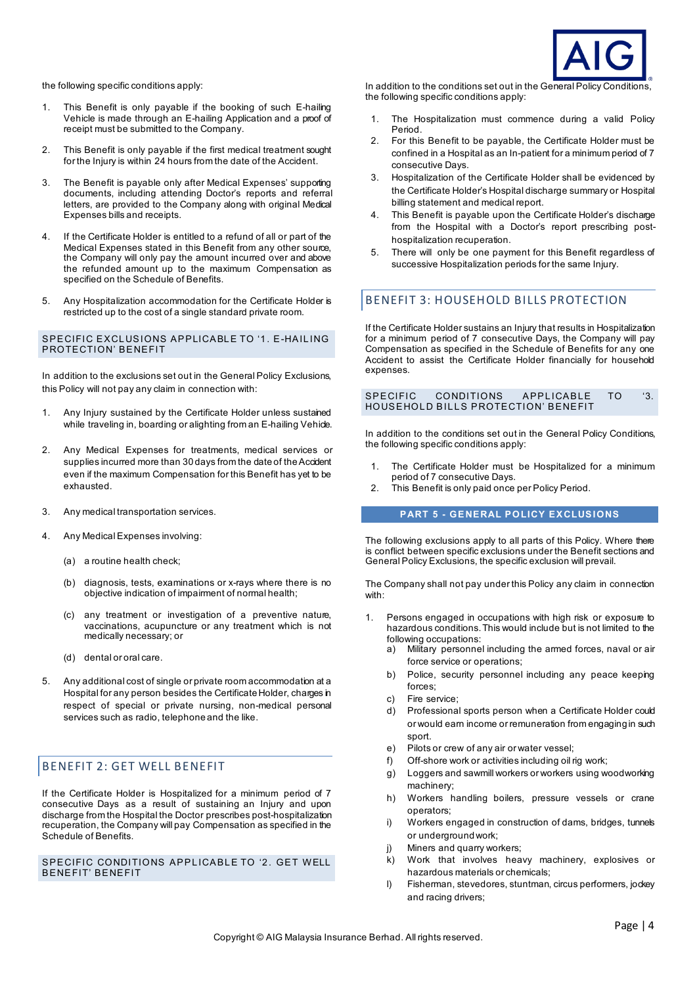

the following specific conditions apply:

- 1. This Benefit is only payable if the booking of such E-hailing Vehicle is made through an E-hailing Application and a proof of receipt must be submitted to the Company.
- 2. This Benefit is only payable if the first medical treatment sought for the Injury is within 24 hours from the date of the Accident.
- 3. The Benefit is payable only after Medical Expenses' supporting documents, including attending Doctor's reports and referral letters, are provided to the Company along with original Medical Expenses bills and receipts.
- 4. If the Certificate Holder is entitled to a refund of all or part of the Medical Expenses stated in this Benefit from any other source, the Company will only pay the amount incurred over and above the refunded amount up to the maximum Compensation as specified on the Schedule of Benefits.
- 5. Any Hospitalization accommodation for the Certificate Holder is restricted up to the cost of a single standard private room.

#### SPECIFIC EXCLUSIONS APPLICABLE TO '1. E-HAILING PROTECTION' BENEFIT

In addition to the exclusions set out in the General Policy Exclusions, this Policy will not pay any claim in connection with:

- 1. Any Injury sustained by the Certificate Holder unless sustained while traveling in, boarding or alighting from an E-hailing Vehicle.
- 2. Any Medical Expenses for treatments, medical services or supplies incurred more than 30 days from the date of the Accident even if the maximum Compensation for this Benefit has yet to be exhausted.
- 3. Any medical transportation services.
- 4. Any Medical Expenses involving:
	- (a) a routine health check;
	- (b) diagnosis, tests, examinations or x-rays where there is no objective indication of impairment of normal health;
	- (c) any treatment or investigation of a preventive nature, vaccinations, acupuncture or any treatment which is not medically necessary; or
	- (d) dental or oral care.
- 5. Any additional cost of single or private room accommodation at a Hospital for any person besides the Certificate Holder, charges in respect of special or private nursing, non-medical personal services such as radio, telephone and the like.

## BENEFIT 2: GET WELL BENEFIT

If the Certificate Holder is Hospitalized for a minimum period of 7 consecutive Days as a result of sustaining an Injury and upon discharge from the Hospital the Doctor prescribes post-hospitalization recuperation, the Company will pay Compensation as specified in the Schedule of Benefits.

SPECIFIC CONDITIONS APPLICABLE TO '2. GET WELL BENEFIT' BENEFIT

In addition to the conditions set out in the General Policy Conditions, the following specific conditions apply:

- 1. The Hospitalization must commence during a valid Policy Period.
- 2. For this Benefit to be payable, the Certificate Holder must be confined in a Hospital as an In-patient for a minimum period of 7 consecutive Days.
- 3. Hospitalization of the Certificate Holder shall be evidenced by the Certificate Holder's Hospital discharge summary or Hospital billing statement and medical report.
- 4. This Benefit is payable upon the Certificate Holder's discharge from the Hospital with a Doctor's report prescribing posthospitalization recuperation.
- 5. There will only be one payment for this Benefit regardless of successive Hospitalization periods for the same Injury.

## BENEFIT 3: HOUSEHOLD BILLS PROTECTION

If the Certificate Holder sustains an Injury that results in Hospitalization for a minimum period of 7 consecutive Days, the Company will pay Compensation as specified in the Schedule of Benefits for any one Accident to assist the Certificate Holder financially for household expenses.

#### SPECIFIC CONDITIONS APPLICABLE TO '3. HOUSEHOLD BILLS PROTECTION' BENEFIT

In addition to the conditions set out in the General Policy Conditions, the following specific conditions apply:

- 1. The Certificate Holder must be Hospitalized for a minimum period of 7 consecutive Days.
- 2. This Benefit is only paid once per Policy Period.

#### **PART 5 - GENERAL POLICY EXCLUSIONS**

The following exclusions apply to all parts of this Policy. Where there is conflict between specific exclusions under the Benefit sections and General Policy Exclusions, the specific exclusion will prevail.

The Company shall not pay under this Policy any claim in connection with:

- 1. Persons engaged in occupations with high risk or exposure to hazardous conditions. This would include but is not limited to the following occupations:
	- Military personnel including the armed forces, naval or air force service or operations;
	- b) Police, security personnel including any peace keeping forces;
	- c) Fire service;
	- d) Professional sports person when a Certificate Holder could or would earn income or remuneration from engaging in such sport.
	- e) Pilots or crew of any air or water vessel;
	- f) Off-shore work or activities including oil rig work;
	- g) Loggers and sawmill workers or workers using woodworking machinery;
	- h) Workers handling boilers, pressure vessels or crane operators;
	- i) Workers engaged in construction of dams, bridges, tunnels or underground work;
	- j) Miners and quarry workers;
	- Work that involves heavy machinery, explosives or hazardous materials or chemicals;
	- l) Fisherman, stevedores, stuntman, circus performers, jockey and racing drivers;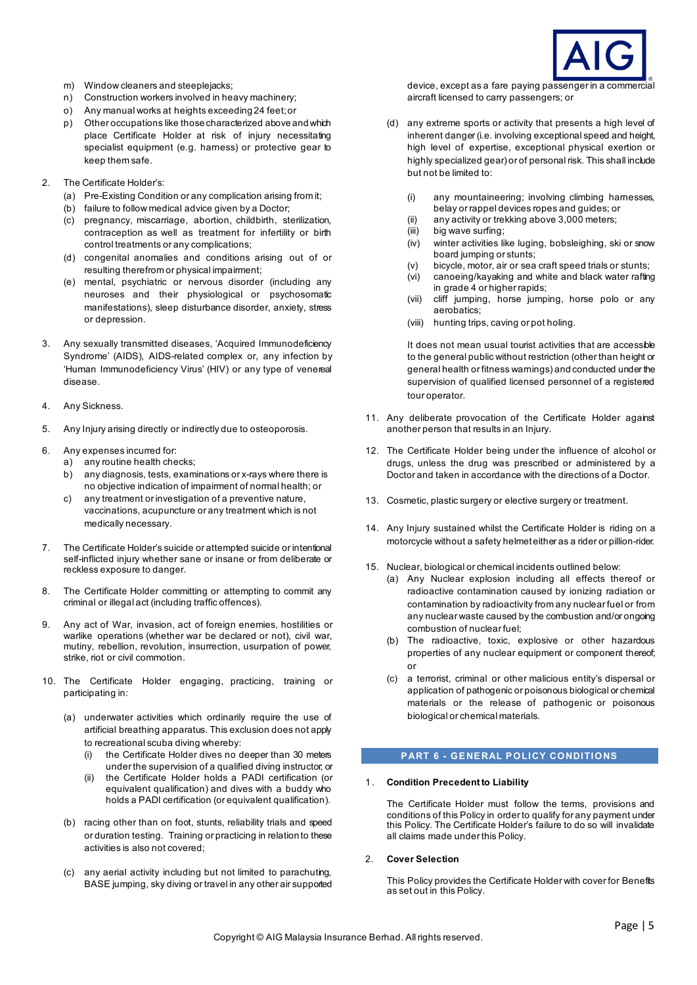

- m) Window cleaners and steeplejacks;
- n) Construction workers involved in heavy machinery;
- o) Any manual works at heights exceeding 24 feet; or
- p) Other occupations like those characterized above and which place Certificate Holder at risk of injury necessitating specialist equipment (e.g. harness) or protective gear to keep them safe.
- 2. The Certificate Holder's:
	- (a) Pre-Existing Condition or any complication arising from it;
	- (b) failure to follow medical advice given by a Doctor;
	- (c) pregnancy, miscarriage, abortion, childbirth, sterilization, contraception as well as treatment for infertility or birth control treatments or any complications;
	- (d) congenital anomalies and conditions arising out of or resulting therefrom or physical impairment;
	- (e) mental, psychiatric or nervous disorder (including any neuroses and their physiological or psychosomatic manifestations), sleep disturbance disorder, anxiety, stress or depression.
- 3. Any sexually transmitted diseases, 'Acquired Immunodeficiency Syndrome' (AIDS), AIDS-related complex or, any infection by 'Human Immunodeficiency Virus' (HIV) or any type of venereal disease.
- 4. Any Sickness.
- 5. Any Injury arising directly or indirectly due to osteoporosis.
- 6. Any expenses incurred for:
	- a) any routine health checks;
	- b) any diagnosis, tests, examinations or x-rays where there is no objective indication of impairment of normal health; or
	- c) any treatment or investigation of a preventive nature, vaccinations, acupuncture or any treatment which is not medically necessary.
- 7. The Certificate Holder's suicide or attempted suicide or intentional self-inflicted injury whether sane or insane or from deliberate or reckless exposure to danger.
- 8. The Certificate Holder committing or attempting to commit any criminal or illegal act (including traffic offences).
- 9. Any act of War, invasion, act of foreign enemies, hostilities or warlike operations (whether war be declared or not), civil war, mutiny, rebellion, revolution, insurrection, usurpation of power, strike, riot or civil commotion.
- 10. The Certificate Holder engaging, practicing, training or participating in:
	- (a) underwater activities which ordinarily require the use of artificial breathing apparatus. This exclusion does not apply to recreational scuba diving whereby:
		- (i) the Certificate Holder dives no deeper than 30 meters under the supervision of a qualified diving instructor; or
		- (ii) the Certificate Holder holds a PADI certification (or equivalent qualification) and dives with a buddy who holds a PADI certification (or equivalent qualification).
	- (b) racing other than on foot, stunts, reliability trials and speed or duration testing. Training or practicing in relation to these activities is also not covered;
	- (c) any aerial activity including but not limited to parachuting, BASE jumping, sky diving or travel in any other air supported

device, except as a fare paying passenger in a commercial aircraft licensed to carry passengers; or

- (d) any extreme sports or activity that presents a high level of inherent danger (i.e. involving exceptional speed and height, high level of expertise, exceptional physical exertion or highly specialized gear) or of personal risk. This shall include but not be limited to:
	- (i) any mountaineering; involving climbing harnesses, belay or rappel devices ropes and guides; or
	- (ii) any activity or trekking above 3,000 meters;
	- (iii) big wave surfing;
	- (iv) winter activities like luging, bobsleighing, ski or snow board jumping or stunts;
	- (v) bicycle, motor, air or sea craft speed trials or stunts;
	- canoeing/kayaking and white and black water rafting in grade 4 or higher rapids;
	- (vii) cliff jumping, horse jumping, horse polo or any aerobatics;
	- (viii) hunting trips, caving or pot holing.

It does not mean usual tourist activities that are accessible to the general public without restriction (other than height or general health or fitness warnings) and conducted under the supervision of qualified licensed personnel of a registered tour operator.

- 11. Any deliberate provocation of the Certificate Holder against another person that results in an Injury.
- 12. The Certificate Holder being under the influence of alcohol or drugs, unless the drug was prescribed or administered by a Doctor and taken in accordance with the directions of a Doctor.
- 13. Cosmetic, plastic surgery or elective surgery or treatment.
- 14. Any Injury sustained whilst the Certificate Holder is riding on a motorcycle without a safety helmet either as a rider or pillion-rider.
- 15. Nuclear, biological or chemical incidents outlined below:
	- (a) Any Nuclear explosion including all effects thereof or radioactive contamination caused by ionizing radiation or contamination by radioactivity from any nuclear fuel or from any nuclear waste caused by the combustion and/or ongoing combustion of nuclear fuel;
	- (b) The radioactive, toxic, explosive or other hazardous properties of any nuclear equipment or component thereof; or
	- (c) a terrorist, criminal or other malicious entity's dispersal or application of pathogenic or poisonous biological or chemical materials or the release of pathogenic or poisonous biological or chemical materials.

## **PART 6 - GENERAL POLICY CONDITIONS**

#### 1 . **Condition Precedent to Liability**

The Certificate Holder must follow the terms, provisions and conditions of this Policy in order to qualify for any payment under this Policy. The Certificate Holder's failure to do so will invalidate all claims made under this Policy.

#### 2. **Cover Selection**

This Policy provides the Certificate Holder with cover for Benefits as set out in this Policy.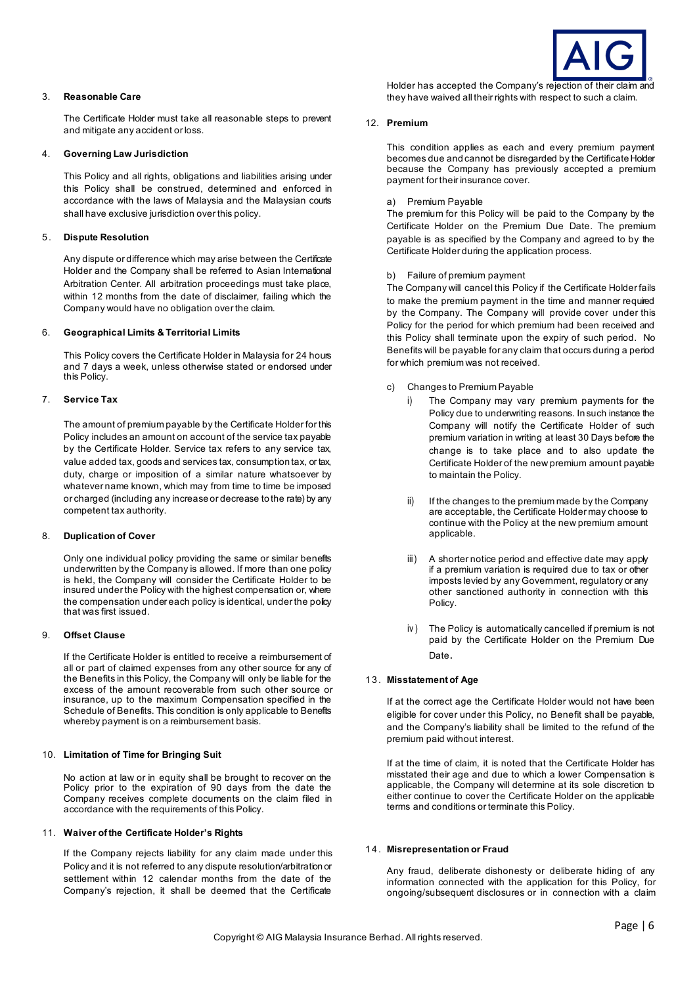

## 3. **Reasonable Care**

The Certificate Holder must take all reasonable steps to prevent and mitigate any accident or loss.

### 4. **Governing Law Jurisdiction**

This Policy and all rights, obligations and liabilities arising under this Policy shall be construed, determined and enforced in accordance with the laws of Malaysia and the Malaysian courts shall have exclusive jurisdiction over this policy.

## 5 . **Dispute Resolution**

Any dispute or difference which may arise between the Certificate Holder and the Company shall be referred to Asian International Arbitration Center. All arbitration proceedings must take place, within 12 months from the date of disclaimer, failing which the Company would have no obligation over the claim.

#### 6. **Geographical Limits & Territorial Limits**

This Policy covers the Certificate Holder in Malaysia for 24 hours and 7 days a week, unless otherwise stated or endorsed under this Policy.

## 7. **Service Tax**

The amount of premium payable by the Certificate Holder for this Policy includes an amount on account of the service tax payable by the Certificate Holder. Service tax refers to any service tax, value added tax, goods and services tax, consumption tax, or tax, duty, charge or imposition of a similar nature whatsoever by whatever name known, which may from time to time be imposed or charged (including any increase or decrease to the rate) by any competent tax authority.

## 8. **Duplication of Cover**

Only one individual policy providing the same or similar benefits underwritten by the Company is allowed. If more than one policy is held, the Company will consider the Certificate Holder to be insured under the Policy with the highest compensation or, where the compensation under each policy is identical, under the policy that was first issued.

#### 9. **Offset Clause**

If the Certificate Holder is entitled to receive a reimbursement of all or part of claimed expenses from any other source for any of the Benefits in this Policy, the Company will only be liable for the excess of the amount recoverable from such other source or insurance, up to the maximum Compensation specified in the Schedule of Benefits. This condition is only applicable to Benefits whereby payment is on a reimbursement basis.

## 10. **Limitation of Time for Bringing Suit**

No action at law or in equity shall be brought to recover on the Policy prior to the expiration of 90 days from the date the Company receives complete documents on the claim filed in accordance with the requirements of this Policy.

#### 11. **Waiver of the Certificate Holder's Rights**

If the Company rejects liability for any claim made under this Policy and it is not referred to any dispute resolution/arbitration or settlement within 12 calendar months from the date of the Company's rejection, it shall be deemed that the Certificate

Holder has accepted the Company's rejection of their claim and they have waived all their rights with respect to such a claim.

#### 12. **Premium**

This condition applies as each and every premium payment becomes due and cannot be disregarded by the Certificate Holder because the Company has previously accepted a premium payment for their insurance cover.

## a) Premium Payable

The premium for this Policy will be paid to the Company by the Certificate Holder on the Premium Due Date. The premium payable is as specified by the Company and agreed to by the Certificate Holder during the application process.

b) Failure of premium payment

The Company will cancel this Policy if the Certificate Holder fails to make the premium payment in the time and manner required by the Company. The Company will provide cover under this Policy for the period for which premium had been received and this Policy shall terminate upon the expiry of such period. No Benefits will be payable for any claim that occurs during a period for which premium was not received.

- c) Changes to Premium Payable
	- The Company may vary premium payments for the Policy due to underwriting reasons. In such instance the Company will notify the Certificate Holder of such premium variation in writing at least 30 Days before the change is to take place and to also update the Certificate Holder of the new premium amount payable to maintain the Policy.
	- ii) If the changes to the premium made by the Company are acceptable, the Certificate Holder may choose to continue with the Policy at the new premium amount applicable.
	- iii) A shorter notice period and effective date may apply if a premium variation is required due to tax or other imposts levied by any Government, regulatory or any other sanctioned authority in connection with this Policy.
	- iv ) The Policy is automatically cancelled if premium is not paid by the Certificate Holder on the Premium Due Date.

#### 13. **Misstatement of Age**

If at the correct age the Certificate Holder would not have been eligible for cover under this Policy, no Benefit shall be payable, and the Company's liability shall be limited to the refund of the premium paid without interest.

If at the time of claim, it is noted that the Certificate Holder has misstated their age and due to which a lower Compensation is applicable, the Company will determine at its sole discretion to either continue to cover the Certificate Holder on the applicable terms and conditions or terminate this Policy.

#### 14. **Misrepresentation or Fraud**

Any fraud, deliberate dishonesty or deliberate hiding of any information connected with the application for this Policy, for ongoing/subsequent disclosures or in connection with a claim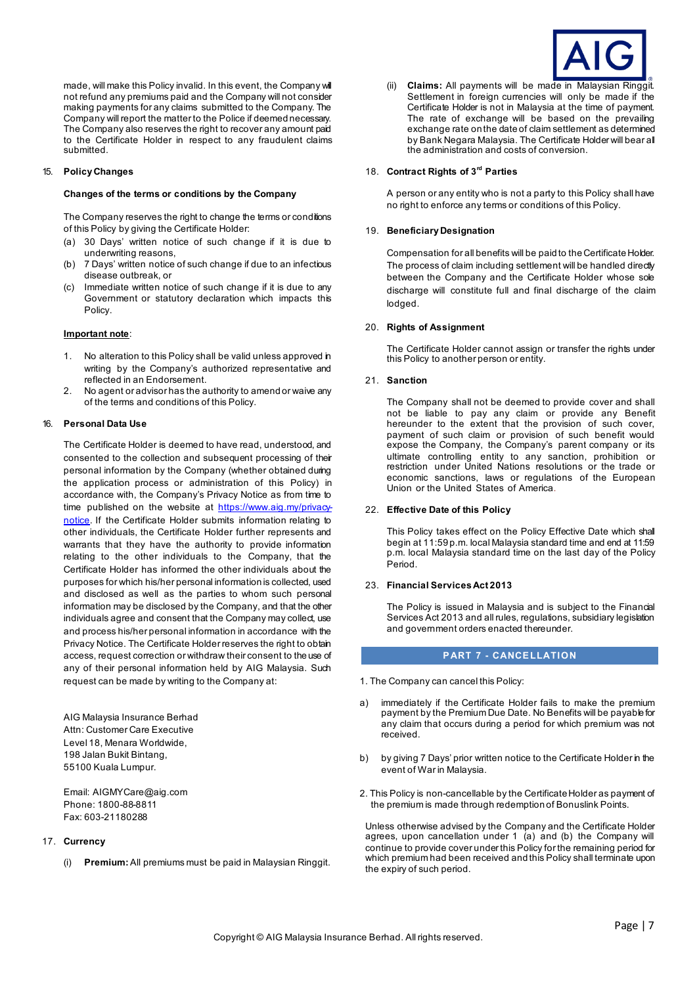made, will make this Policy invalid. In this event, the Company will not refund any premiums paid and the Company will not consider making payments for any claims submitted to the Company. The Company will report the matter to the Police if deemed necessary. The Company also reserves the right to recover any amount paid to the Certificate Holder in respect to any fraudulent claims submitted.

### 15. **Policy Changes**

#### **Changes of the terms or conditions by the Company**

The Company reserves the right to change the terms or conditions of this Policy by giving the Certificate Holder:

- (a) 30 Days' written notice of such change if it is due to underwriting reasons,
- (b) 7 Days' written notice of such change if due to an infectious disease outbreak, or
- (c) Immediate written notice of such change if it is due to any Government or statutory declaration which impacts this Policy.

## **Important note**:

- 1. No alteration to this Policy shall be valid unless approved in writing by the Company's authorized representative and reflected in an Endorsement.
- 2. No agent or advisor has the authority to amend or waive any of the terms and conditions of this Policy.

#### 16. **Personal Data Use**

The Certificate Holder is deemed to have read, understood, and consented to the collection and subsequent processing of their personal information by the Company (whether obtained during the application process or administration of this Policy) in accordance with, the Company's Privacy Notice as from time to time published on the website at [https://www.aig.my/privacy](https://www.aig.my/privacy-notice)[notice.](https://www.aig.my/privacy-notice) If the Certificate Holder submits information relating to other individuals, the Certificate Holder further represents and warrants that they have the authority to provide information relating to the other individuals to the Company, that the Certificate Holder has informed the other individuals about the purposes for which his/her personal information is collected, used and disclosed as well as the parties to whom such personal information may be disclosed by the Company, and that the other individuals agree and consent that the Company may collect, use and process his/her personal information in accordance with the Privacy Notice. The Certificate Holder reserves the right to obtain access, request correction or withdraw their consent to the use of any of their personal information held by AIG Malaysia. Such request can be made by writing to the Company at:

AIG Malaysia Insurance Berhad Attn: Customer Care Executive Level 18, Menara Worldwide, 198 Jalan Bukit Bintang, 55100 Kuala Lumpur.

Email: AIGMYCare@aig.com Phone: 1800-88-8811 Fax: 603-21180288

## 17. **Currency**

(i) **Premium:** All premiums must be paid in Malaysian Ringgit.



(ii) **Claims:** All payments will be made in Malaysian Ringgit. Settlement in foreign currencies will only be made if the Certificate Holder is not in Malaysia at the time of payment. The rate of exchange will be based on the prevailing exchange rate on the date of claim settlement as determined by Bank Negara Malaysia. The Certificate Holder will bear all the administration and costs of conversion.

## 18. **Contract Rights of 3rd Parties**

A person or any entity who is not a party to this Policy shall have no right to enforce any terms or conditions of this Policy.

### 19. **Beneficiary Designation**

Compensation for all benefits will be paid to the Certificate Holder. The process of claim including settlement will be handled directly between the Company and the Certificate Holder whose sole discharge will constitute full and final discharge of the claim lodged.

## 20. **Rights of Assignment**

The Certificate Holder cannot assign or transfer the rights under this Policy to another person or entity.

#### 21. **Sanction**

The Company shall not be deemed to provide cover and shall not be liable to pay any claim or provide any Benefit hereunder to the extent that the provision of such cover, payment of such claim or provision of such benefit would expose the Company, the Company's parent company or its ultimate controlling entity to any sanction, prohibition or restriction under United Nations resolutions or the trade or economic sanctions, laws or regulations of the European Union or the United States of America.

#### 22. **Effective Date of this Policy**

This Policy takes effect on the Policy Effective Date which shall begin at 11:59 p.m. local Malaysia standard time and end at 11:59 p.m. local Malaysia standard time on the last day of the Policy Period.

#### 23. **Financial Services Act 2013**

The Policy is issued in Malaysia and is subject to the Financial Services Act 2013 and all rules, regulations, subsidiary legislation and government orders enacted thereunder.

#### **PART 7 - CANCELLATION**

- 1. The Company can cancel this Policy:
- a) immediately if the Certificate Holder fails to make the premium payment by the Premium Due Date. No Benefits will be payable for any claim that occurs during a period for which premium was not received.
- b) by giving 7 Days' prior written notice to the Certificate Holder in the event of War in Malaysia.
- 2. This Policy is non-cancellable by the Certificate Holder as payment of the premium is made through redemption of Bonuslink Points.

Unless otherwise advised by the Company and the Certificate Holder agrees, upon cancellation under 1 (a) and (b) the Company will continue to provide cover under this Policy for the remaining period for which premium had been received and this Policy shall terminate upon the expiry of such period.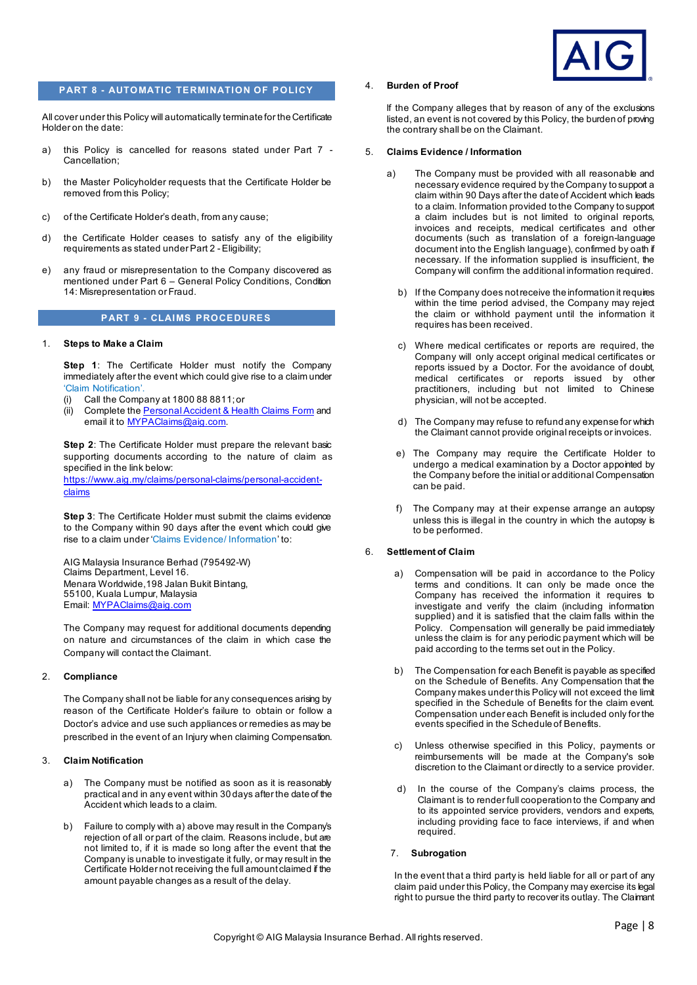

## **PART 8 - AUTOMATIC TERMINATION OF POLICY**

All cover under this Policy will automatically terminate for the Certificate Holder on the date:

- a) this Policy is cancelled for reasons stated under Part 7 Cancellation;
- b) the Master Policyholder requests that the Certificate Holder be removed from this Policy;
- c) of the Certificate Holder's death, from any cause;
- d) the Certificate Holder ceases to satisfy any of the eligibility requirements as stated under Part 2 - Eligibility;
- e) any fraud or misrepresentation to the Company discovered as mentioned under Part 6 – General Policy Conditions, Condition 14: Misrepresentation or Fraud.

#### **PART 9 - CLAIMS PROCEDURES**

#### 1. **Steps to Make a Claim**

**Step 1**: The Certificate Holder must notify the Company immediately after the event which could give rise to a claim under 'Claim Notification'.

- (i) Call the Company at 1800 88 8811; or
- (ii) Complete the [Personal Accident & Health Claims Form](https://www.aig.my/content/dam/aig/apac/malaysia/documents/Forms/personal-accident-medical-and-critical-illness-claim-form.pdf) and email it to [MYPAClaims@aig.com.](mailto:MYPAClaims@aig.com)

**Step 2**: The Certificate Holder must prepare the relevant basic supporting documents according to the nature of claim as specified in the link below:

[https://www.aig.my/claims/personal-claims/personal-accident](https://www.aig.my/claims/personal-claims/personal-accident-claims)[claims](https://www.aig.my/claims/personal-claims/personal-accident-claims)

**Step 3**: The Certificate Holder must submit the claims evidence to the Company within 90 days after the event which could give rise to a claim under 'Claims Evidence/ Information' to:

AIG Malaysia Insurance Berhad (795492-W) Claims Department, Level 16. Menara Worldwide,198 Jalan Bukit Bintang, 55100, Kuala Lumpur, Malaysia Email[: MYPAClaims@aig.com](mailto:MYPAClaims@aig.com)

The Company may request for additional documents depending on nature and circumstances of the claim in which case the Company will contact the Claimant.

#### 2. **Compliance**

The Company shall not be liable for any consequences arising by reason of the Certificate Holder's failure to obtain or follow a Doctor's advice and use such appliances or remedies as may be prescribed in the event of an Injury when claiming Compensation.

#### 3. **Claim Notification**

- a) The Company must be notified as soon as it is reasonably practical and in any event within 30 days after the date of the Accident which leads to a claim.
- b) Failure to comply with a) above may result in the Company's rejection of all or part of the claim. Reasons include, but are not limited to, if it is made so long after the event that the Company is unable to investigate it fully, or may result in the Certificate Holder not receiving the full amount claimed if the amount payable changes as a result of the delay.

## 4. **Burden of Proof**

lf the Company alleges that by reason of any of the exclusions listed, an event is not covered by this Policy, the burden of proving the contrary shall be on the Claimant.

#### 5. **Claims Evidence / Information**

- The Company must be provided with all reasonable and necessary evidence required by the Company to support a claim within 90 Days after the date of Accident which leads to a claim. Information provided to the Company to support a claim includes but is not limited to original reports, invoices and receipts, medical certificates and other documents (such as translation of a foreign-language document into the English language), confirmed by oath if necessary. If the information supplied is insufficient, the Company will confirm the additional information required.
- b) If the Company does not receive the information it requires within the time period advised, the Company may reject the claim or withhold payment until the information it requires has been received.
- c) Where medical certificates or reports are required, the Company will only accept original medical certificates or reports issued by a Doctor. For the avoidance of doubt, medical certificates or reports issued by other practitioners, including but not limited to Chinese physician, will not be accepted.
- d) The Company may refuse to refund any expense for which the Claimant cannot provide original receipts or invoices.
- e) The Company may require the Certificate Holder to undergo a medical examination by a Doctor appointed by the Company before the initial or additional Compensation can be paid.
- f) The Company may at their expense arrange an autopsy unless this is illegal in the country in which the autopsy is to be performed.

#### 6. **Settlement of Claim**

- Compensation will be paid in accordance to the Policy terms and conditions. It can only be made once the Company has received the information it requires to investigate and verify the claim (including information supplied) and it is satisfied that the claim falls within the Policy. Compensation will generally be paid immediately unless the claim is for any periodic payment which will be paid according to the terms set out in the Policy.
- b) The Compensation for each Benefit is payable as specified on the Schedule of Benefits. Any Compensation that the Company makes under this Policy will not exceed the limit specified in the Schedule of Benefits for the claim event. Compensation under each Benefit is included only for the events specified in the Schedule of Benefits.
- c) Unless otherwise specified in this Policy, payments or reimbursements will be made at the Company's sole discretion to the Claimant or directly to a service provider.
- d) In the course of the Company's claims process, the Claimant is to render full cooperation to the Company and to its appointed service providers, vendors and experts, including providing face to face interviews, if and when required.

#### 7. **Subrogation**

In the event that a third party is held liable for all or part of any claim paid under this Policy, the Company may exercise its legal right to pursue the third party to recover its outlay. The Claimant